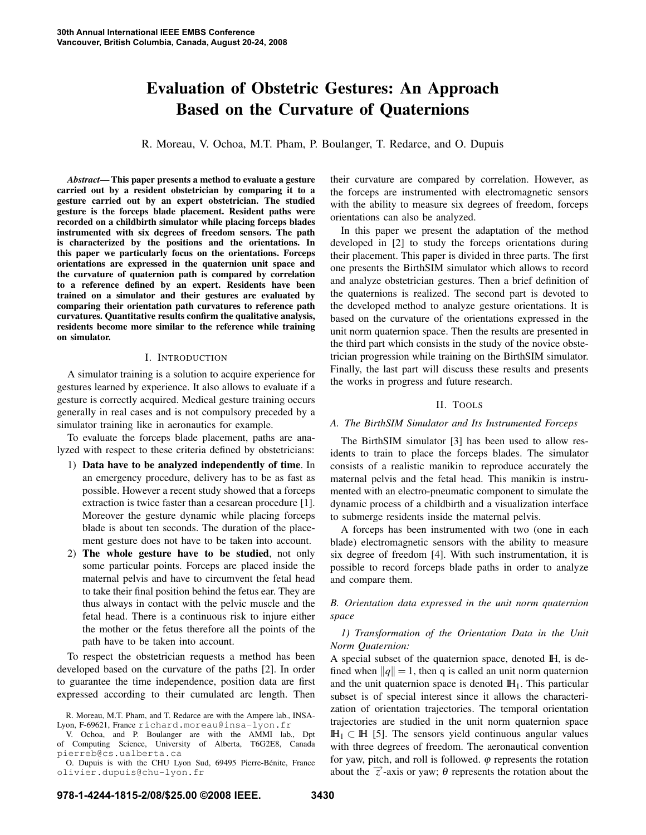# **Evaluation of Obstetric Gestures: An Approach Based on the Curvature of Quaternions**

R. Moreau, V. Ochoa, M.T. Pham, P. Boulanger, T. Redarce, and O. Dupuis

*Abstract***—This paper presents a method to evaluate a gesture carried out by a resident obstetrician by comparing it to a gesture carried out by an expert obstetrician. The studied gesture is the forceps blade placement. Resident paths were recorded on a childbirth simulator while placing forceps blades instrumented with six degrees of freedom sensors. The path is characterized by the positions and the orientations. In this paper we particularly focus on the orientations. Forceps orientations are expressed in the quaternion unit space and the curvature of quaternion path is compared by correlation to a reference defined by an expert. Residents have been trained on a simulator and their gestures are evaluated by comparing their orientation path curvatures to reference path curvatures. Quantitative results confirm the qualitative analysis, residents become more similar to the reference while training on simulator.**

## I. INTRODUCTION

A simulator training is a solution to acquire experience for gestures learned by experience. It also allows to evaluate if a gesture is correctly acquired. Medical gesture training occurs generally in real cases and is not compulsory preceded by a simulator training like in aeronautics for example.

To evaluate the forceps blade placement, paths are analyzed with respect to these criteria defined by obstetricians:

- 1) **Data have to be analyzed independently of time**. In an emergency procedure, delivery has to be as fast as possible. However a recent study showed that a forceps extraction is twice faster than a cesarean procedure [1]. Moreover the gesture dynamic while placing forceps blade is about ten seconds. The duration of the placement gesture does not have to be taken into account.
- 2) **The whole gesture have to be studied**, not only some particular points. Forceps are placed inside the maternal pelvis and have to circumvent the fetal head to take their final position behind the fetus ear. They are thus always in contact with the pelvic muscle and the fetal head. There is a continuous risk to injure either the mother or the fetus therefore all the points of the path have to be taken into account.

To respect the obstetrician requests a method has been developed based on the curvature of the paths [2]. In order to guarantee the time independence, position data are first expressed according to their cumulated arc length. Then their curvature are compared by correlation. However, as the forceps are instrumented with electromagnetic sensors with the ability to measure six degrees of freedom, forceps orientations can also be analyzed.

In this paper we present the adaptation of the method developed in [2] to study the forceps orientations during their placement. This paper is divided in three parts. The first one presents the BirthSIM simulator which allows to record and analyze obstetrician gestures. Then a brief definition of the quaternions is realized. The second part is devoted to the developed method to analyze gesture orientations. It is based on the curvature of the orientations expressed in the unit norm quaternion space. Then the results are presented in the third part which consists in the study of the novice obstetrician progression while training on the BirthSIM simulator. Finally, the last part will discuss these results and presents the works in progress and future research.

## II. TOOLS

## *A. The BirthSIM Simulator and Its Instrumented Forceps*

The BirthSIM simulator [3] has been used to allow residents to train to place the forceps blades. The simulator consists of a realistic manikin to reproduce accurately the maternal pelvis and the fetal head. This manikin is instrumented with an electro-pneumatic component to simulate the dynamic process of a childbirth and a visualization interface to submerge residents inside the maternal pelvis.

A forceps has been instrumented with two (one in each blade) electromagnetic sensors with the ability to measure six degree of freedom [4]. With such instrumentation, it is possible to record forceps blade paths in order to analyze and compare them.

# *B. Orientation data expressed in the unit norm quaternion space*

## *1) Transformation of the Orientation Data in the Unit Norm Quaternion:*

A special subset of the quaternion space, denoted IH, is defined when  $\|q\| = 1$ , then q is called an unit norm quaternion and the unit quaternion space is denoted  $\mathbb{H}_1$ . This particular subset is of special interest since it allows the characterization of orientation trajectories. The temporal orientation trajectories are studied in the unit norm quaternion space  $\mathbb{H}_1 \subset \mathbb{H}$  [5]. The sensors yield continuous angular values with three degrees of freedom. The aeronautical convention for yaw, pitch, and roll is followed.  $\varphi$  represents the rotation about the  $\vec{z}$ -axis or yaw;  $\theta$  represents the rotation about the

R. Moreau, M.T. Pham, and T. Redarce are with the Ampere lab., INSA-Lyon, F-69621, France richard.moreau@insa-lyon.fr

V. Ochoa, and P. Boulanger are with the AMMI lab., Dpt of Computing Science, University of Alberta, T6G2E8, Canada pierreb@cs.ualberta.ca

O. Dupuis is with the CHU Lyon Sud, 69495 Pierre-Bénite, France olivier.dupuis@chu-lyon.fr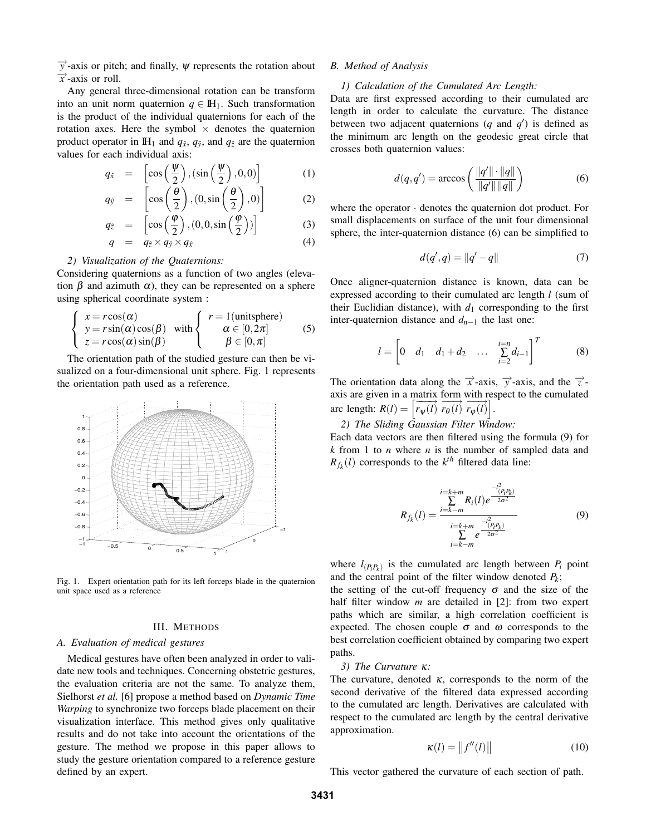$\overrightarrow{v}$  -axis or pitch; and finally,  $\psi$  represents the rotation about  $\vec{x}$ -axis or roll.

Any general three-dimensional rotation can be transform into an unit norm quaternion  $q \in \mathbb{H}_1$ . Such transformation is the product of the individual quaternions for each of the rotation axes. Here the symbol  $\times$  denotes the quaternion product operator in  $\mathbb{H}_1$  and  $q_{\hat{x}}$ ,  $q_{\hat{y}}$ , and  $q_{\hat{z}}$  are the quaternion values for each individual axis:

$$
q_{\hat{x}} = \begin{bmatrix} \cos\left(\frac{\psi}{2}\right), (\sin\left(\frac{\psi}{2}\right), 0, 0) \end{bmatrix} \tag{1}
$$

$$
q_{\hat{y}} = \left[ \cos\left(\frac{\theta}{2}\right), (0, \sin\left(\frac{\theta}{2}\right), 0) \right] \tag{2}
$$

$$
q_{\hat{z}} = \left[ \cos\left(\frac{\varphi}{2}\right), (0, 0, \sin\left(\frac{\varphi}{2}\right)) \right]
$$
\n
$$
q = q_{\hat{z}} \times q_{\hat{y}} \times q_{\hat{x}} \tag{3}
$$

*2) Visualization of the Quaternions:*

Considering quaternions as a function of two angles (elevation  $\beta$  and azimuth  $\alpha$ ), they can be represented on a sphere using spherical coordinate system :

$$
\begin{cases}\n x = r\cos(\alpha) \\
y = r\sin(\alpha)\cos(\beta) \\
z = r\cos(\alpha)\sin(\beta)\n\end{cases}\n\text{ with }\n\begin{cases}\n r = 1(\text{unitsphere}) \\
\alpha \in [0, 2\pi] \\
\beta \in [0, \pi]\n\end{cases}\n\tag{5}
$$

The orientation path of the studied gesture can then be visualized on a four-dimensional unit sphere. Fig. 1 represents the orientation path used as a reference.



Fig. 1. Expert orientation path for its left forceps blade in the quaternion unit space used as a reference

#### III. METHODS

## *A. Evaluation of medical gestures*

Medical gestures have often been analyzed in order to validate new tools and techniques. Concerning obstetric gestures, the evaluation criteria are not the same. To analyze them, Sielhorst *et al.* [6] propose a method based on *Dynamic Time Warping* to synchronize two forceps blade placement on their visualization interface. This method gives only qualitative results and do not take into account the orientations of the gesture. The method we propose in this paper allows to study the gesture orientation compared to a reference gesture defined by an expert.

## *B. Method of Analysis*

## *1) Calculation of the Cumulated Arc Length:*

Data are first expressed according to their cumulated arc length in order to calculate the curvature. The distance between two adjacent quaternions  $(q \text{ and } q')$  is defined as the minimum arc length on the geodesic great circle that crosses both quaternion values:

$$
d(q, q') = \arccos\left(\frac{\|q'\| \cdot \|q\|}{\|q'\| \|q\|}\right)
$$
 (6)

where the operator  $\cdot$  denotes the quaternion dot product. For small displacements on surface of the unit four dimensional sphere, the inter-quaternion distance (6) can be simplified to

$$
d(q', q) = ||q' - q|| \tag{7}
$$

Once aligner-quaternion distance is known, data can be expressed according to their cumulated arc length *l* (sum of their Euclidian distance), with  $d_1$  corresponding to the first inter-quaternion distance and  $d_{n-1}$  the last one:

$$
l = \begin{bmatrix} 0 & d_1 & d_1 + d_2 & \dots & \sum_{i=2}^{i=n} d_{i-1} \end{bmatrix}^T
$$
 (8)

The orientation data along the  $\vec{x}$ -axis,  $\vec{y}$ -axis, and the  $\vec{z}$ axis are given in a matrix form with respect to the cumulated arc length:  $R(l) = \left[ \overline{r_{\psi}(l)} \overline{r_{\theta}(l)} \overline{r_{\phi}(l)} \right]$ .

*2) The Sliding Gaussian Filter Window:* Each data vectors are then filtered using the formula (9) for

*k* from 1 to *n* where *n* is the number of sampled data and  $R_{f_k}(l)$  corresponds to the  $k^{th}$  filtered data line:

$$
R_{f_k}(l) = \frac{\sum\limits_{i=k-m}^{i=k+m} R_i(l)e^{-\frac{l_{(P_i P_k)}}{2\sigma^2}}}{\sum\limits_{i=k-m}^{i=k+m} e^{-\frac{l_{(P_i P_k)}}{2\sigma^2}}}
$$
(9)

where  $l_{(P_i P_k)}$  is the cumulated arc length between  $P_i$  point and the central point of the filter window denoted  $P_k$ ;

the setting of the cut-off frequency  $\sigma$  and the size of the half filter window *m* are detailed in [2]: from two expert paths which are similar, a high correlation coefficient is expected. The chosen couple  $\sigma$  and  $\omega$  corresponds to the best correlation coefficient obtained by comparing two expert paths.

## *3) The Curvature* <sup>κ</sup>*:*

The curvature, denoted  $\kappa$ , corresponds to the norm of the second derivative of the filtered data expressed according to the cumulated arc length. Derivatives are calculated with respect to the cumulated arc length by the central derivative approximation.

$$
\kappa(l) = \|f''(l)\| \tag{10}
$$

This vector gathered the curvature of each section of path.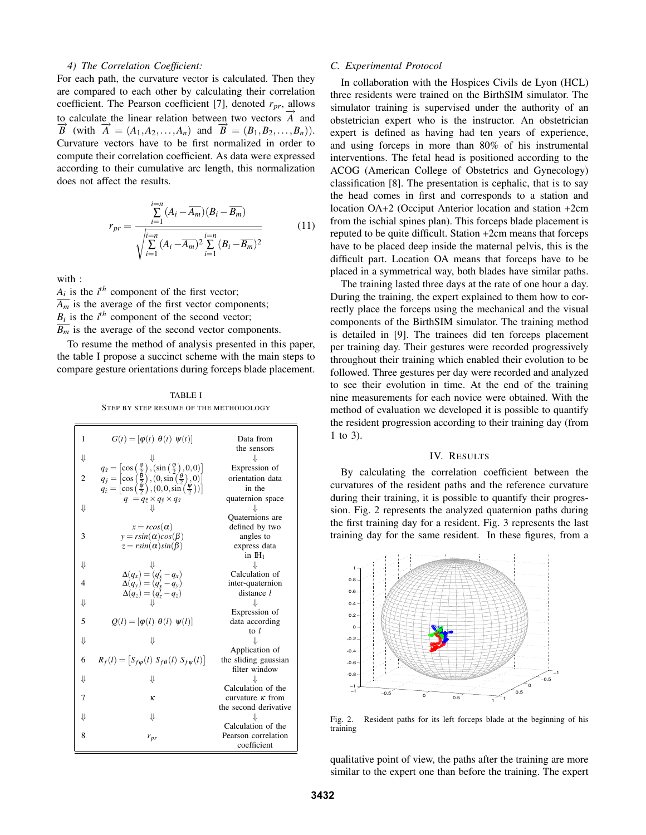### *4) The Correlation Coefficient:*

For each path, the curvature vector is calculated. Then they are compared to each other by calculating their correlation coefficient. The Pearson coefficient [7], denoted *rpr* , allows to calculate the linear relation between two vectors  $\overrightarrow{A}$  and  $\overrightarrow{A}$  (*A*  $A = \overrightarrow{A}$ ) and  $\overrightarrow{B}$  (*R*  $R = R$ ))  $\overrightarrow{B}$  (with  $\overrightarrow{A} = (A_1, A_2, \ldots, A_n)$  and  $\overrightarrow{B} = (B_1, B_2, \ldots, B_n)$ ). Curvature vectors have to be first normalized in order to compute their correlation coefficient. As data were expressed according to their cumulative arc length, this normalization does not affect the results.

$$
r_{pr} = \frac{\sum_{i=1}^{i=n} (A_i - \overline{A_m})(B_i - \overline{B_m})}{\sqrt{\sum_{i=1}^{i=n} (A_i - \overline{A_m})^2 \sum_{i=1}^{i=n} (B_i - \overline{B_m})^2}}
$$
(11)

with :

 $A_i$  is the  $i^{th}$  component of the first vector;  $\overline{A_m}$  is the average of the first vector components;  $B_i$  is the  $i^{th}$  component of the second vector;  $\overline{B_m}$  is the average of the second vector components.

To resume the method of analysis presented in this paper, the table I propose a succinct scheme with the main steps to compare gesture orientations during forceps blade placement.

TABLE I STEP BY STEP RESUME OF THE METHODOLOGY

| 1              | $G(t) = [\varphi(t) \ \theta(t) \ \psi(t)]$                                                                                                                                                                                                             | Data from               |
|----------------|---------------------------------------------------------------------------------------------------------------------------------------------------------------------------------------------------------------------------------------------------------|-------------------------|
|                |                                                                                                                                                                                                                                                         | the sensors             |
| ⇓              |                                                                                                                                                                                                                                                         | JL                      |
|                | $q_{\hat{x}} = [\cos(\frac{\varphi}{2}), (\sin(\frac{\varphi}{2}), 0, 0)]$                                                                                                                                                                              | Expression of           |
| $\overline{2}$ |                                                                                                                                                                                                                                                         | orientation data        |
|                | $q_{\hat{y}} = \begin{bmatrix} \cos\left(\frac{\theta}{2}\right), \left(0, \sin\left(\frac{\theta}{2}\right), 0\right) \\ q_{\hat{z}} = \left[\cos\left(\frac{\psi}{2}\right), \left(0, 0, \sin\left(\frac{\psi}{2}\right)\right)\right] \end{bmatrix}$ | in the                  |
|                |                                                                                                                                                                                                                                                         |                         |
|                | $q = q_{\hat{z}} \times q_{\hat{y}} \times q_{\hat{x}}$                                                                                                                                                                                                 | quaternion space        |
| ⇓              |                                                                                                                                                                                                                                                         | ⇓                       |
|                |                                                                                                                                                                                                                                                         | <b>Ouaternions</b> are  |
|                | $x = r\cos(\alpha)$                                                                                                                                                                                                                                     | defined by two          |
| 3              | $y = r\sin(\alpha)\cos(\beta)$                                                                                                                                                                                                                          | angles to               |
|                | $z = r\sin(\alpha)\sin(\beta)$                                                                                                                                                                                                                          | express data            |
|                |                                                                                                                                                                                                                                                         | in $\mathbb{H}_1$       |
| ⇓              |                                                                                                                                                                                                                                                         | JL                      |
|                | $\Delta(q_x) = (q'_x - q_x)$                                                                                                                                                                                                                            | Calculation of          |
| 4              | $\Delta(q_y)=(\overline{q'_y}-\overline{q_y})$                                                                                                                                                                                                          | inter-quaternion        |
|                | $\Delta(q_z)=(q'_z-q_z)$                                                                                                                                                                                                                                | $distance$ $l$          |
| ⇓              |                                                                                                                                                                                                                                                         |                         |
|                |                                                                                                                                                                                                                                                         | Expression of           |
| 5              | $Q(l) = [\varphi(l) \ \theta(l) \ \psi(l)]$                                                                                                                                                                                                             | data according          |
|                |                                                                                                                                                                                                                                                         | to $l$                  |
| ⇓              | ⇓                                                                                                                                                                                                                                                       | ⇓                       |
|                |                                                                                                                                                                                                                                                         | Application of          |
| 6              | $R_f(l) = [S_{f\phi}(l) S_{f\theta}(l) S_{f\psi}(l)]$                                                                                                                                                                                                   | the sliding gaussian    |
|                |                                                                                                                                                                                                                                                         | filter window           |
| ⇓              | ⇓                                                                                                                                                                                                                                                       |                         |
|                |                                                                                                                                                                                                                                                         | Calculation of the      |
| 7              | ĸ                                                                                                                                                                                                                                                       | curvature $\kappa$ from |
|                |                                                                                                                                                                                                                                                         | the second derivative   |
| ⇓              | ⇓                                                                                                                                                                                                                                                       |                         |
|                |                                                                                                                                                                                                                                                         | Calculation of the      |
| 8              | $r_{pr}$                                                                                                                                                                                                                                                | Pearson correlation     |
|                |                                                                                                                                                                                                                                                         | coefficient             |
|                |                                                                                                                                                                                                                                                         |                         |

#### *C. Experimental Protocol*

In collaboration with the Hospices Civils de Lyon (HCL) three residents were trained on the BirthSIM simulator. The simulator training is supervised under the authority of an obstetrician expert who is the instructor. An obstetrician expert is defined as having had ten years of experience, and using forceps in more than 80% of his instrumental interventions. The fetal head is positioned according to the ACOG (American College of Obstetrics and Gynecology) classification [8]. The presentation is cephalic, that is to say the head comes in first and corresponds to a station and location OA+2 (Occiput Anterior location and station +2cm from the ischial spines plan). This forceps blade placement is reputed to be quite difficult. Station +2cm means that forceps have to be placed deep inside the maternal pelvis, this is the difficult part. Location OA means that forceps have to be placed in a symmetrical way, both blades have similar paths.

The training lasted three days at the rate of one hour a day. During the training, the expert explained to them how to correctly place the forceps using the mechanical and the visual components of the BirthSIM simulator. The training method is detailed in [9]. The trainees did ten forceps placement per training day. Their gestures were recorded progressively throughout their training which enabled their evolution to be followed. Three gestures per day were recorded and analyzed to see their evolution in time. At the end of the training nine measurements for each novice were obtained. With the method of evaluation we developed it is possible to quantify the resident progression according to their training day (from 1 to 3).

## IV. RESULTS

By calculating the correlation coefficient between the curvatures of the resident paths and the reference curvature during their training, it is possible to quantify their progression. Fig. 2 represents the analyzed quaternion paths during the first training day for a resident. Fig. 3 represents the last training day for the same resident. In these figures, from a



Fig. 2. Resident paths for its left forceps blade at the beginning of his training

qualitative point of view, the paths after the training are more similar to the expert one than before the training. The expert